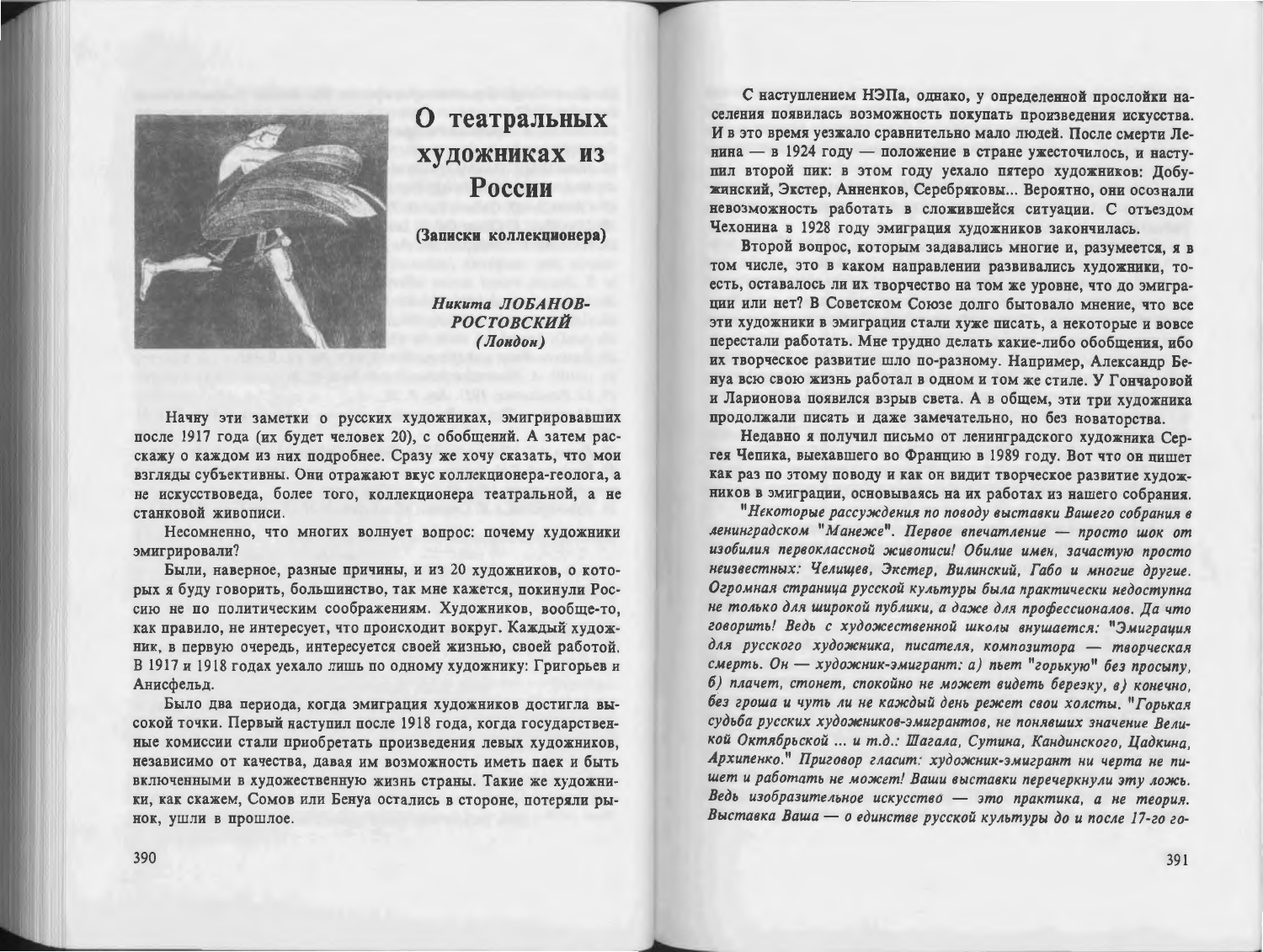

# О театральных художниках из России

(Записки коллекционера)

Никита ЛОБАНОВ-**РОСТОВСКИЙ** (Лондон)

Начну эти заметки о русских художниках, эмигрировавших после 1917 года (их будет человек 20), с обобщений. А затем расскажу о каждом из них подробнее. Сразу же хочу сказать, что мои взгляды субъективны. Они отражают вкус коллекционера-геолога, а не искусствоведа, более того, коллекционера театральной, а не станковой живописи.

Несомненно, что многих волнует вопрос: почему художники эмигрировали?

Были, наверное, разные причины, и из 20 художников, о которых я буду говорить, большинство, так мне кажется, покинули Россию не по политическим соображениям. Художников, вообще-то, как правило, не интересует, что происходит вокруг. Каждый художник, в первую очередь, интересуется своей жизнью, своей работой. В 1917 и 1918 годах уехало лишь по одному художнику: Григорьев и Анисфельд.

Было два периода, когда эмиграция художников достигла высокой точки. Первый наступил после 1918 года, когда государственные комиссии стали приобретать произведения левых художников, независимо от качества, давая им возможность иметь паек и быть включенными в художественную жизнь страны. Такие же художники, как скажем, Сомов или Бенуа остались в стороне, потеряли рынок, ушли в прошлое.

С наступлением НЭПа, однако, у определенной прослойки населения появилась возможность покупать произведения искусства. И в это время уезжало сравнительно мало людей. После смерти Ленина - в 1924 году - положение в стране ужесточилось, и наступил второй пик: в этом году уехало пятеро художников: Добужинский, Экстер, Анненков, Серебряковы... Вероятно, они осознали невозможность работать в сложившейся ситуации. С отъездом Чехонина в 1928 году эмиграция художников закончилась.

Второй вопрос, которым задавались многие и, разумеется, я в том числе, это в каком направлении развивались художники, тоесть, оставалось ли их творчество на том же уровне, что до эмиграции или нет? В Советском Союзе долго бытовало мнение, что все эти художники в эмиграции стали хуже писать, а некоторые и вовсе перестали работать. Мне трудно делать какие-либо обобщения, ибо их творческое развитие шло по-разному. Например, Александр Бенуа всю свою жизнь работал в одном и том же стиле. У Гончаровой и Ларионова появился взрыв света. А в общем, эти три художника продолжали писать и даже замечательно, но без новаторства.

Недавно я получил письмо от ленинградского художника Сергея Чепика, выехавшего во Францию в 1989 году. Вот что он пишет как раз по этому поводу и как он видит творческое развитие художников в эмиграции, основываясь на их работах из нашего собрания.

"Некоторые рассуждения по поводу выставки Вашего собрания в ленинградском "Манеже". Первое впечатление - просто шок от изобилия первоклассной живописи! Обилие имен, зачастую просто неизвестных: Челищев, Экстер, Вилинский, Габо и многие другие. Огромная страница русской культуры была практически недоступна не только для широкой публики, а даже для профессионалов. Да что говорить! Ведь с художественной школы внушается: "Эмиграция для русского художника, писателя, композитора - творческая смерть. Он — художник-эмигрант: а) пьет "горькую" без просыпу. б) плачет, стонет, спокойно не может видеть березку, в) конечно. без гроша и чуть ли не каждый день режет свои холсты. "Горькая судьба русских художников-эмигрантов, не понявших значение Великой Октябрьской ... и т.д.: Шагала, Сутина, Кандинского, Цадкина, Архипенко." Приговор гласит: художник-эмигрант ни черта не пишет и работать не может! Ваши выставки перечеркнули эту ложь. Ведь изобразительное искусство - это практика, а не теория. Выставка Ваша - о единстве русской культуры до и после 17-го го-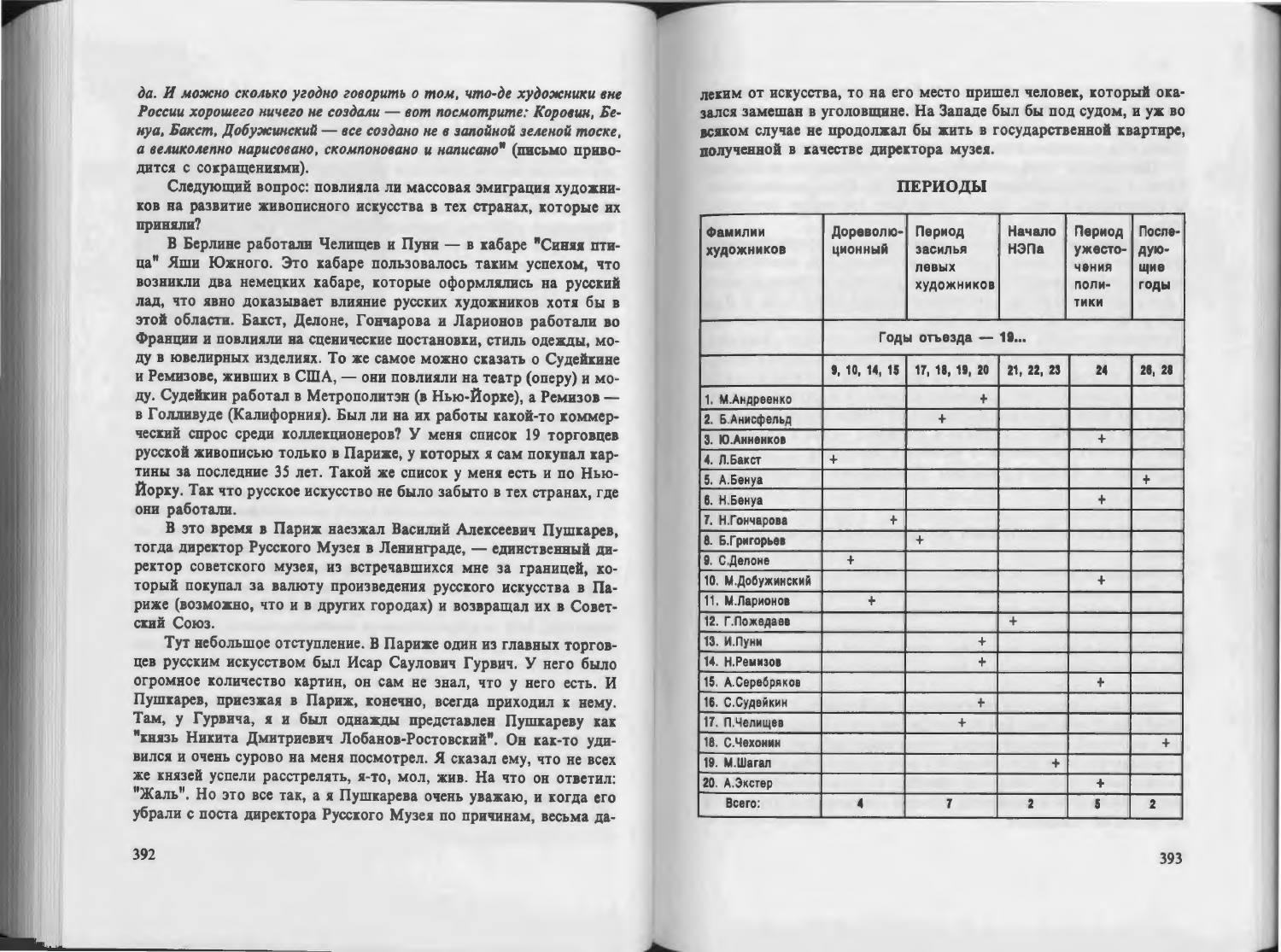да. И можно сколько угодно говорить о том, что-де художники вне России хорошего ничего не создали - вот посмотрите: Коровин, Бенуа, Бакст, Добужинский - все создано не в запойной зеленой тоске, а великолепно нарисовано, скомпоновано и написано" (письмо приводится с сокращениями).

Следующий вопрос: повлияла ли массовая эмиграция художников на развитие живописного искусства в тех странах, которые их приняли?

В Берлине работали Челищев и Пуни - в кабаре "Синяя птица" Яши Южного. Это кабаре пользовалось таким успехом, что возникли два немецких кабаре, которые оформлялись на русский лад, что явно доказывает влияние русских художников хотя бы в этой области. Бакст, Делоне, Гончарова и Ларионов работали во Франции и повлияли на сценические постановки, стиль одежды, моду в ювелирных изделиях. То же самое можно сказать о Судейкине и Ремизове, живших в США, - они повлияли на театр (оперу) и моду. Судейкин работал в Метрополитэн (в Нью-Йорке), а Ремизов в Голливуде (Калифорния). Был ли на их работы какой-то коммерческий спрос среди коллекционеров? У меня список 19 торговцев русской живописью только в Париже, у которых я сам покупал картины за последние 35 лет. Такой же список у меня есть и по Нью-Йорку. Так что русское искусство не было забыто в тех странах, где они работали.

В это время в Париж наезжал Василий Алексеевич Пушкарев. тогда директор Русского Музея в Ленинграде, - единственный директор советского музея, из встречавшихся мне за границей, который покупал за валюту произведения русского искусства в Париже (возможно, что и в других городах) и возвращал их в Советский Союз.

Тут небольшое отступление. В Париже один из главных торговцев русским искусством был Исар Саулович Гурвич. У него было огромное количество картин, он сам не знал, что у него есть. И Пушкарев, приезжая в Париж, конечно, всегда приходил к нему. Там, у Гурвича, я и был однажды представлен Пушкареву как "князь Никита Дмитриевич Лобанов-Ростовский". Он как-то удивился и очень сурово на меня посмотрел. Я сказал ему, что не всех же князей успели расстрелять, я-то, мол, жив. На что он ответил: "Жаль". Но это все так, а я Пушкарева очень уважаю, и когда его убрали с поста директора Русского Музея по причинам, весьма далеким от искусства, то на его место пришел человек, который оказался замешан в уголовщине. На Западе был бы под судом, и уж во всяком случае не продолжал бы жить в государственной квартире. полученной в качестве директора музея.

#### ПЕРИОДЫ

| <b>Фамилии</b><br><b>ХУДОЖНИКОВ</b> | Дореволю-<br><b>ЦИОННЫЙ</b> | Период<br>засилья<br>левых<br><b>ХУДОЖНИКОВ</b> | Начало<br>НЭПа       | Период<br>ужесто-<br>чения<br>поли-<br><b>ТИКИ</b> | После-<br>дую-<br>щие<br>годы |
|-------------------------------------|-----------------------------|-------------------------------------------------|----------------------|----------------------------------------------------|-------------------------------|
|                                     | Годы отъезда - 19           |                                                 |                      |                                                    |                               |
|                                     | 9, 10, 14, 15               | 17, 18, 19, 20                                  | 21, 22, 23           | 24                                                 | 26, 28                        |
| 1. М.Андреенко                      |                             | $\ddot{}$                                       |                      |                                                    |                               |
| 2. Б.Анисфельд                      |                             | $\ddot{}$                                       |                      |                                                    |                               |
| 3. Ю.Анненков                       |                             |                                                 |                      | $+$                                                |                               |
| 4. Л.Бакст                          | $\ddot{}$                   |                                                 |                      |                                                    |                               |
| 5. А.Бенуа                          |                             |                                                 |                      |                                                    | $\ddot{\phantom{1}}$          |
| 6. Н.Бенуа                          |                             |                                                 |                      | $\ddot{\phantom{1}}$                               |                               |
| 7. Н. Гончарова                     | ÷                           |                                                 |                      |                                                    |                               |
| 8. Б. Григорьев                     |                             | $\ddot{}$                                       |                      |                                                    |                               |
| 9. С.Делоне                         | $\ddot{}$                   |                                                 |                      |                                                    |                               |
| 10. М.Добужинский                   |                             |                                                 |                      | $\ddot{}$                                          |                               |
| 11. М.Ларионов                      | $\ddot{}$                   |                                                 |                      |                                                    |                               |
| 12. Г.Пожедаев                      |                             |                                                 | $\overline{+}$       |                                                    |                               |
| 13. И.Пуни                          |                             | ÷                                               |                      |                                                    |                               |
| 14. Н. Ремизов                      |                             | $+$                                             |                      |                                                    |                               |
| 15. А.Серебряков                    |                             |                                                 |                      | $+$                                                |                               |
| 16. С.Судейкин                      |                             | ÷                                               |                      |                                                    |                               |
| 17. П.Челищев                       |                             | ÷                                               |                      |                                                    |                               |
| 18. С.Чехонин                       |                             |                                                 |                      |                                                    | ÷                             |
| 19. М.Шагал                         |                             |                                                 | $\ddot{\phantom{1}}$ |                                                    |                               |
| 20. А.Экстер                        |                             |                                                 |                      | $\ddot{}$                                          |                               |
| Bcero:                              | Δ                           | $\overline{7}$                                  | $\overline{2}$       | $\overline{\mathbf{5}}$                            | $\overline{2}$                |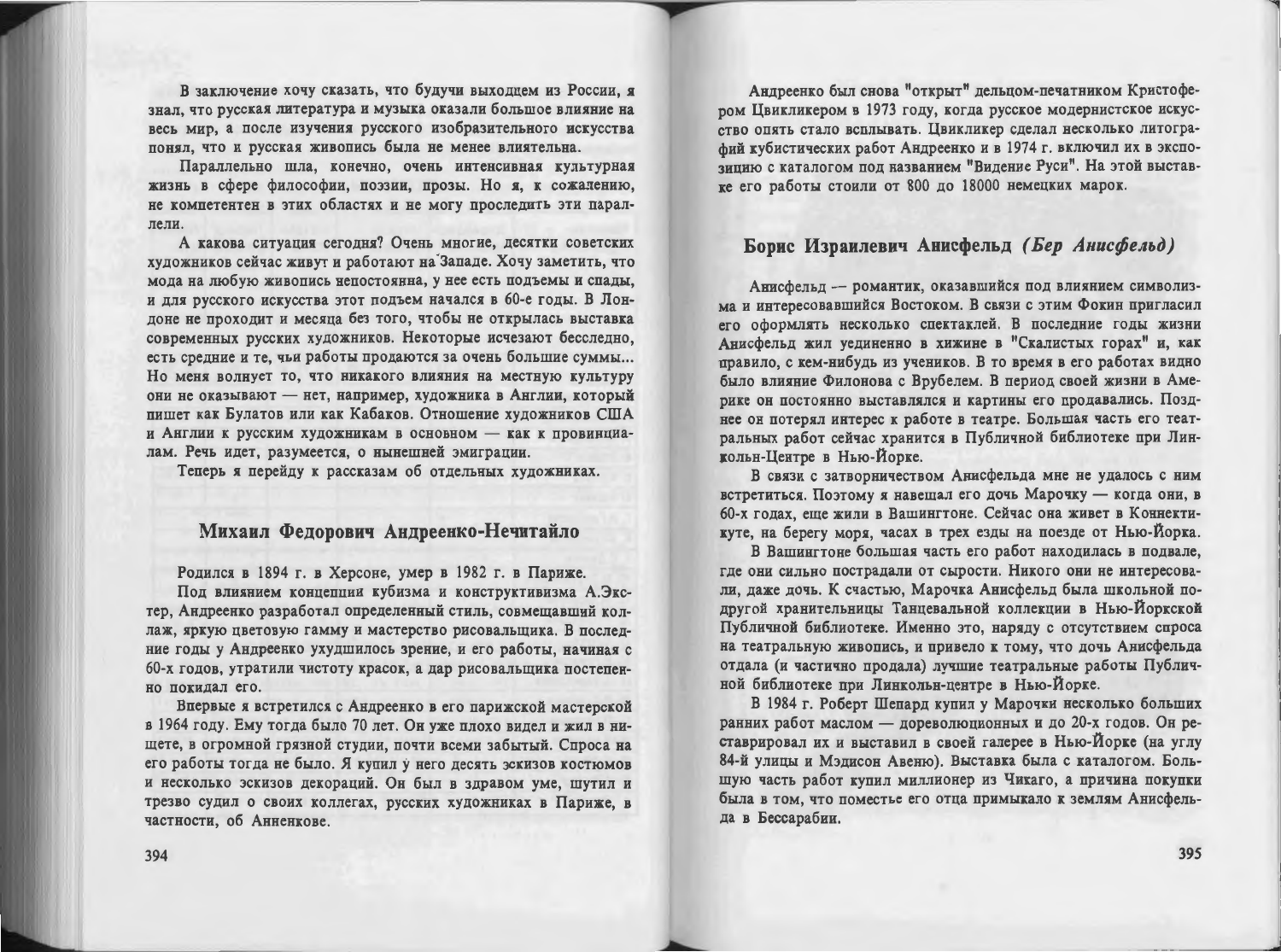В заключение хочу сказать, что будучи выходцем из России, я знал, что русская литература и музыка оказали большое влияние на весь мир. а после изучения русского изобразительного искусства понял, что и русская живопись была не менее влиятельна.

Параллельно шла, конечно, очень интенсивная культурная жизнь в сфере философии, поэзии, прозы. Но я, к сожалению, не компетентен в этих областях и не могу проследить эти параллели.

А какова ситуация сегодня? Очень многие, десятки советских художников сейчас живут и работают на Западе. Хочу заметить, что мода на любую живопись непостоянна, у нее есть подъемы и спады, и для русского искусства этот подъем начался в 60-е годы. В Лондоне не проходит и месяца без того, чтобы не открылась выставка современных русских художников. Некоторые исчезают бесследно, есть средние и те, чьи работы продаются за очень большие суммы... Но меня волнует то, что никакого влияния на местную культуру они не оказывают - нет, например, художника в Англии, который пишет как Булатов или как Кабаков. Отношение художников США и Англии к русским художникам в основном - как к провинциалам. Речь идет, разумеется, о нынешней эмиграции.

Теперь я перейду к рассказам об отдельных художниках.

#### Михаил Федорович Андреенко-Нечитайло

Родился в 1894 г. в Херсоне, умер в 1982 г. в Париже.

Под влиянием концепции кубизма и конструктивизма А.Экстер, Андреенко разработал определенный стиль, совмещавший коллаж, яркую цветовую гамму и мастерство рисовальщика. В последние годы у Андреенко ухудшилось зрение, и его работы, начиная с 60-х годов, утратили чистоту красок, а дар рисовальщика постепенно покидал его.

Впервые я встретился с Андреенко в его парижской мастерской в 1964 году. Ему тогда было 70 лет. Он уже плохо видел и жил в нищете, в огромной грязной студии, почти всеми забытый. Спроса на его работы тогда не было. Я купил у него десять эскизов костюмов и несколько эскизов декораций. Он был в здравом уме, шутил и трезво судил о своих коллегах, русских художниках в Париже, в частности, об Анненкове.

Андреенко был снова "открыт" дельцом-печатником Кристофером Цвикликером в 1973 году, когда русское модернистское искусство опять стало всплывать. Цвикликер сделал несколько литографий кубистических работ Андреенко и в 1974 г. включил их в экспозицию с каталогом под названием "Видение Руси". На этой выставке его работы стоили от 800 до 18000 немецких марок.

# Борис Израилевич Анисфельд (Бер Анисфельд)

Анисфельд - романтик, оказавшийся под влиянием символизма и интересовавшийся Востоком. В связи с этим Фокин пригласил его оформлять несколько спектаклей. В последние годы жизни Анисфельд жил уединенно в хижине в "Скалистых горах" и, как правило, с кем-нибудь из учеников. В то время в его работах видно было влияние Филонова с Врубелем. В период своей жизни в Америке он постоянно выставлялся и картины его продавались. Позднее он потерял интерес к работе в театре. Большая часть его театральных работ сейчас хранится в Публичной библиотеке при Линкольн-Центре в Нью-Йорке.

В связи с затворничеством Анисфельда мне не удалось с ним встретиться. Поэтому я навещал его дочь Марочку - когда они, в 60-х годах, еще жили в Вашингтоне. Сейчас она живет в Коннектикуте, на берегу моря, часах в трех езды на поезде от Нью-Йорка.

В Вашингтоне большая часть его работ находилась в подвале, где они сильно пострадали от сырости. Никого они не интересовали, даже дочь. К счастью, Марочка Анисфельд была школьной подругой хранительницы Танцевальной коллекции в Нью-Йоркской Публичной библиотеке. Именно это, наряду с отсутствием спроса на театральную живопись, и привело к тому, что дочь Анисфельда отдала (и частично продала) лучшие театральные работы Публичной библиотеке при Линкольн-центре в Нью-Йорке.

В 1984 г. Роберт Шепард купил у Марочки несколько больших ранних работ маслом - дореволюционных и до 20-х годов. Он реставрировал их и выставил в своей галерее в Нью-Йорке (на углу 84-й улицы и Мэдисон Авеню). Выставка была с каталогом. Большую часть работ купил миллионер из Чикаго, а причина покупки была в том, что поместье его отца примыкало к землям Анисфельда в Бессарабии.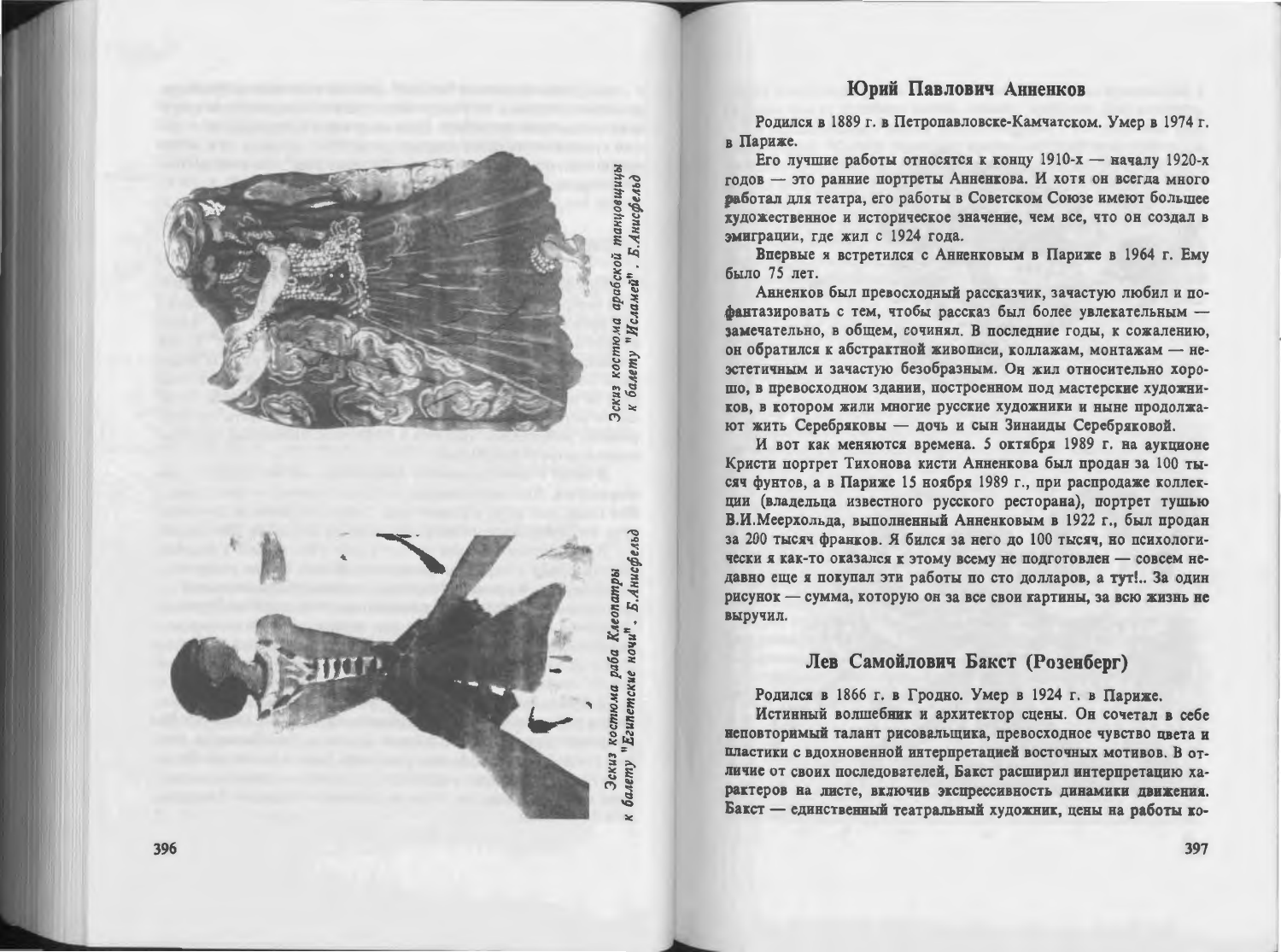

# Юрий Павлович Анненков

Родился в 1889 г. в Петропавловске-Камчатском. Умер в 1974 г. в Париже.

Его лучшие работы относятся к концу 1910-х — началу 1920-х годов - это ранние портреты Анненкова. И хотя он всегда много работал для театра, его работы в Советском Союзе имеют большее художественное и историческое значение, чем все, что он создал в эмиграции, где жил с 1924 года.

Впервые я встретился с Анненковым в Париже в 1964 г. Ему было 75 лет.

Анненков был превосходный рассказчик, зачастую любил и пофантазировать с тем, чтобы рассказ был более увлекательным замечательно, в общем, сочинял. В последние годы, к сожалению, он обратился к абстрактной живописи, коллажам, монтажам - неэстетичным и зачастую безобразным. Он жил относительно хорошо, в превосходном здании, построенном под мастерские художников, в котором жили многие русские художники и ныне продолжают жить Серебряковы - дочь и сын Зинаиды Серебряковой.

И вот как меняются времена. 5 октября 1989 г. на аукционе Кристи портрет Тихонова кисти Анненкова был продан за 100 тысяч фунтов, а в Париже 15 ноября 1989 г., при распродаже коллекции (владельца известного русского ресторана), портрет тушью В.И.Меерхольда, выполненный Анненковым в 1922 г., был продан за 200 тысяч франков. Я бился за него до 100 тысяч, но психологически я как-то оказался к этому всему не подготовлен - совсем недавно еще я покупал эти работы по сто долларов, а тут!.. За один рисунок — сумма, которую он за все свои картины, за всю жизнь не выручил.

# Лев Самойлович Бакст (Розенберг)

Родился в 1866 г. в Гродно. Умер в 1924 г. в Париже.

Истинный волшебник и архитектор сцены. Он сочетал в себе неповторимый талант рисовальщика, превосходное чувство цвета и пластики с вдохновенной интерпретацией восточных мотивов. В отличие от своих последователей, Бакст расширил интерпретацию характеров на листе, включив экспрессивность динамики движения. Бакст - единственный театральный художник, цены на работы ко-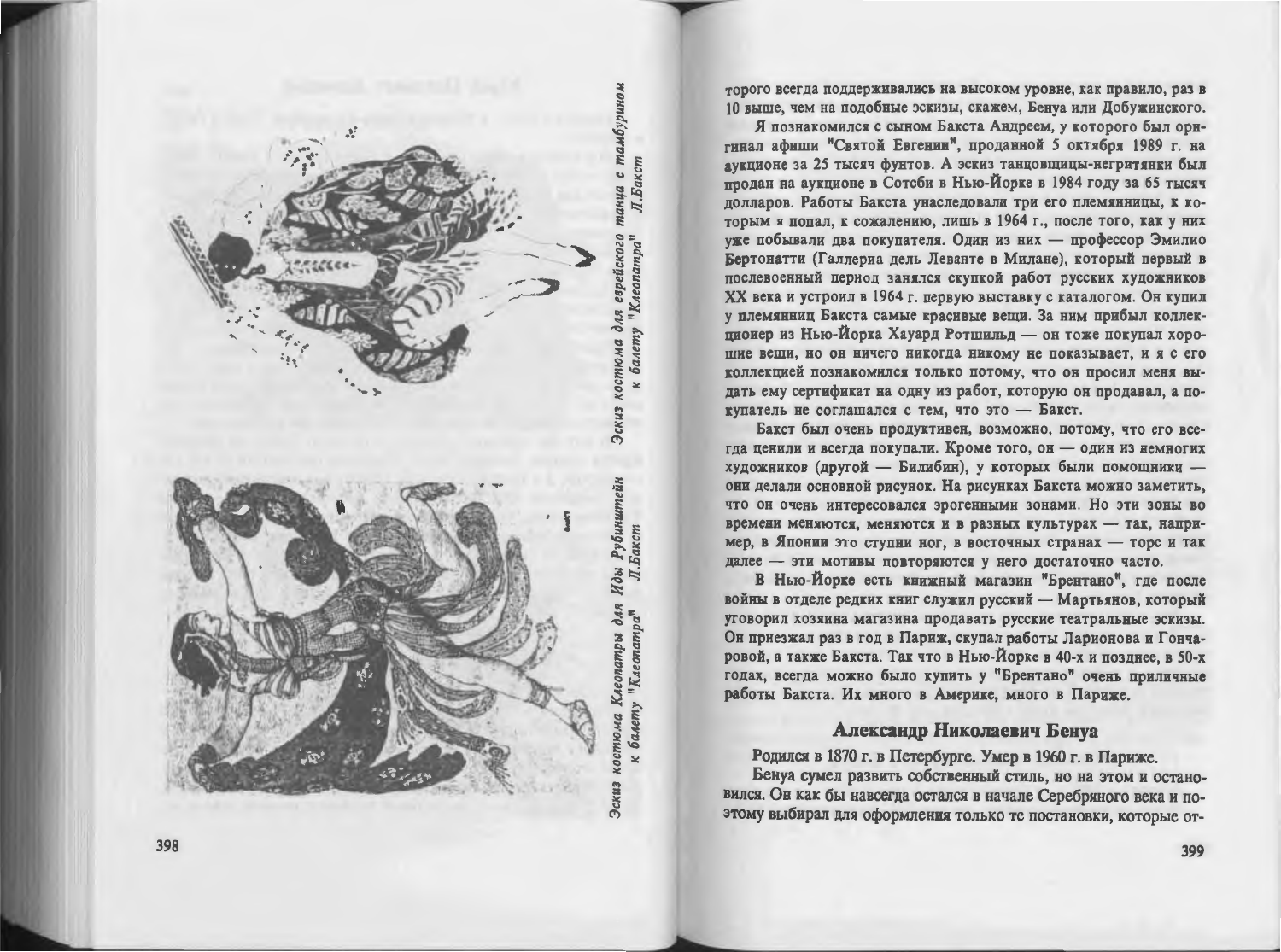

торого всегда поддерживались на высоком уровне, как правило, раз в 10 выше, чем на подобные эскизы, скажем, Бенуа или Добужинского.

Я познакомился с сыном Бакста Андреем, у которого был оригинал афиши "Святой Евгении", проданной 5 октября 1989 г. на аукционе за 25 тысяч фунтов. А эскиз танцовщицы-негритянки был продан на аукционе в Сотсби в Нью-Йорке в 1984 году за 65 тысяч долларов. Работы Бакста унаследовали три его племянницы, к которым я попал, к сожалению, лишь в 1964 г., после того, как у них уже побывали два покупателя. Один из них - профессор Эмилио Бертонатти (Галлериа дель Леванте в Милане), который первый в послевоенный период занялся скупкой работ русских художников ХХ века и устроил в 1964 г. первую выставку с каталогом. Он купил у племянниц Бакста самые красивые вещи. За ним прибыл коллекпиоиер из Нью-Йорка Хауард Ротшильд — он тоже покупал хорошие вещи, но он ничего никогда никому не показывает, и я с его коллекцией познакомился только потому, что он просил меня выдать ему сертификат на одну из работ, которую он продавал, а покупатель не соглашался с тем, что это - Бакст.

Бакст был очень продуктивен, возможно, потому, что его всегда ценили и всегда покупали. Кроме того, он - один из немногих художников (другой - Билибин), у которых были помощники они делали основной рисунок. На рисунках Бакста можно заметить, что он очень интересовался эрогенными зонами. Но эти зоны во времени меняются, меняются и в разных культурах - так, например, в Японии это ступни ног, в восточных странах - торс и так далее - эти мотивы повторяются у него достаточно часто.

В Нью-Йорке есть книжный магазин "Брентано", где после войны в отделе редких книг служил русский - Мартьянов, который уговорил хозяина магазина продавать русские театральные эскизы. Он приезжал раз в год в Париж, скупал работы Ларионова и Гончаровой, а также Бакста. Так что в Нью-Йорке в 40-х и позднее, в 50-х годах, всегда можно было купить у "Брентано" очень приличные работы Бакста. Их много в Америке, много в Париже.

#### Александр Николаевич Бенуа

Родился в 1870 г. в Петербурге. Умер в 1960 г. в Париже.

Бенуа сумел развить собственный стиль, но на этом и остановился. Он как бы навсегда остался в начале Серебряного века и поэтому выбирал для оформления только те постановки, которые от-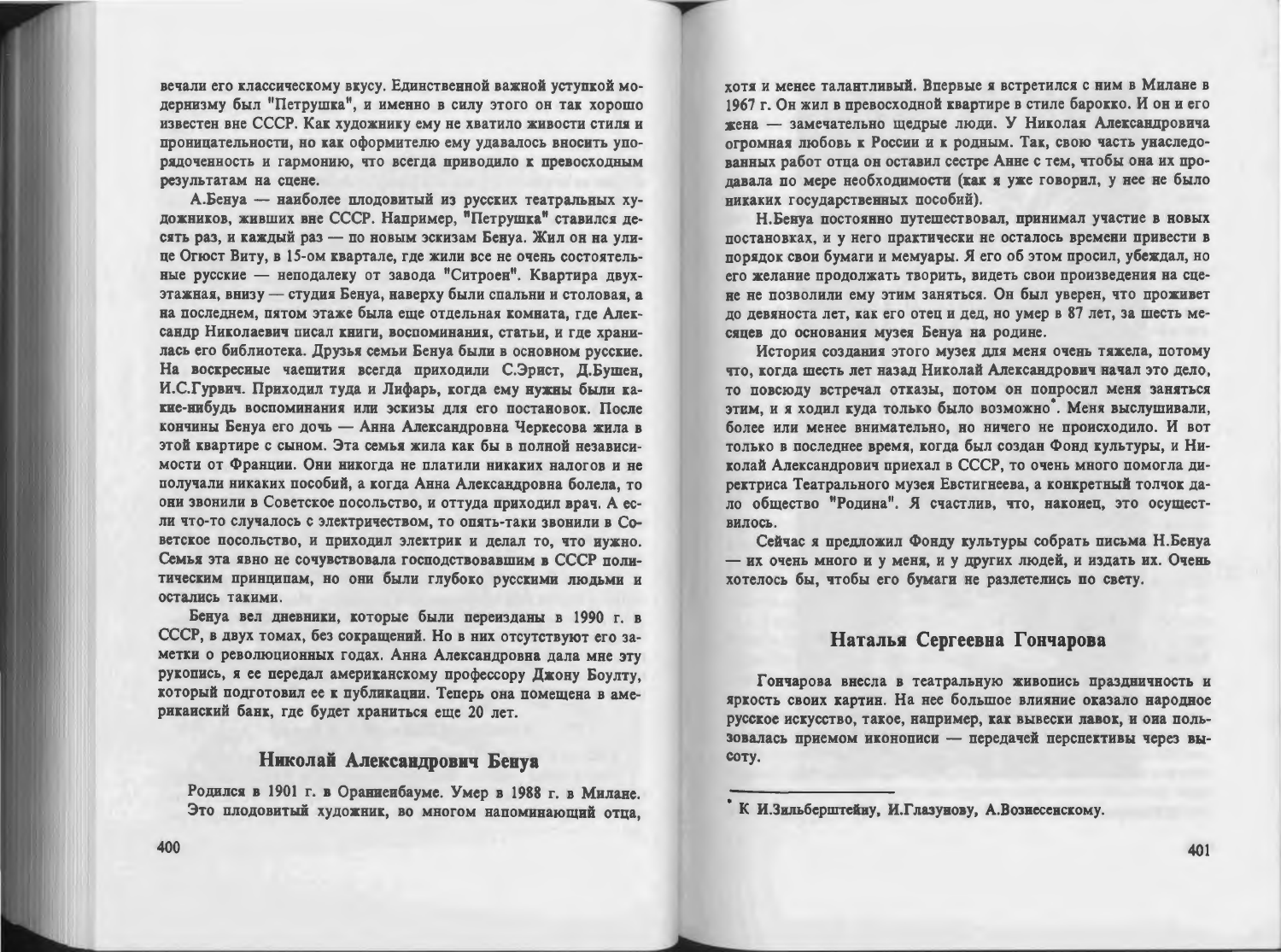вечали его классическому вкусу. Единственной важной уступкой модернизму был "Петрушка", и именно в силу этого он так хорошо известен вне СССР. Как художнику ему не хватило живости стиля и проницательности, но как оформителю ему удавалось вносить упорядоченность и гармонию, что всегда приводило к превосходным результатам на сцене.

А.Бенуа - наиболее плодовитый из русских театральных художников, живших вне СССР. Например, "Петрушка" ставился десять раз, и каждый раз - по новым эскизам Бенуа. Жил он на улице Огюст Виту, в 15-ом квартале, где жили все не очень состоятельные русские - неподалеку от завода "Ситроен". Квартира двухэтажная, внизу - студия Бенуа, наверху были спальни и столовая, а на последнем, пятом этаже была еще отдельная комната, где Александр Николаевич писал книги, воспоминания, статьи, и где хранилась его библиотека. Друзья семьи Бенуа были в основном русские. На воскресные чаепития всегда приходили С.Эрист, Д.Бушен, И.С.Гурвич. Приходил туда и Лифарь, когда ему нужны были какие-нибудь воспоминания или эскизы для его постановок. После кончины Бенуа его дочь - Анна Александровна Черкесова жила в этой квартире с сыном. Эта семья жила как бы в полной независимости от Франции. Они никогда не платили никаких налогов и не получали никаких пособий, а когда Анна Александровна болела, то они звонили в Советское посольство, и оттуда приходил врач. А если что-то случалось с электричеством, то опять-таки звонили в Советское посольство, и приходил электрик и делал то, что иужно. Семья эта явно не сочувствовала господствовавшим в СССР политическим принципам, но они были глубоко русскими людьми и остались такими.

Бенуа вел дневники, которые были переизданы в 1990 г. в СССР, в двух томах, без сокращений. Но в них отсутствуют его заметки о революционных годах. Анна Александровна дала мне эту рукопись, я ее передал американскому профессору Джону Боулту. который подготовил ее к публикации. Теперь она помещена в америкаиский банк, где будет храниться еще 20 лет.

### Николай Александрович Бенуа

Родился в 1901 г. в Ораниеибауме. Умер в 1988 г. в Милане. Это плодовитый художник, во многом напоминающий отца.

хотя и менее талантливый. Впервые я встретился с ним в Милане в 1967 г. Он жил в превосходной квартире в стиле барокко. И он и его жена - замечательно щедрые люди. У Николая Александровича огромная любовь к России и к родным. Так, свою часть унаследованных работ отца он оставил сестре Анне с тем, чтобы она их пролавала по мере необходимости (как я уже говорил, у нее не было никаких государственных пособий).

Н.Бенуа постоянно путешествовал, принимал участие в новых постановках, и у него практически не осталось времени привести в порядок свои бумаги и мемуары. Я его об этом просил, убеждал, но его желание продолжать творить, видеть свои произведения на сцене не позволили ему этим заняться. Он был уверен, что проживет до девяноста лет, как его отец и дед, но умер в 87 лет, за шесть месяцев до основания музея Бенуа на родине.

История создания этого музея для меня очень тяжела, потому что, когда шесть лет назад Николай Александрович начал это дело. то повсюду встречал отказы, потом он попросил меня заняться этим, и я ходил куда только было возможно. Меня выслушивали, более или менее внимательно, но ничего не происходило. И вот только в последнее время, когда был создан Фонд культуры, и Николай Александрович приехал в СССР, то очень много помогла директриса Театрального музея Евстигнеева, а конкретный толчок дало общество "Родина". Я счастлив, что, накоиец, это осуществилось.

Сейчас я предложил Фонду культуры собрать письма Н.Бенуа - их очень много и у меня, и у других людей, и издать их. Очень хотелось бы, чтобы его бумаги не разлетелись по свету.

## Наталья Сергеевна Гончарова

Гончарова внесла в театральную живопись праздничность и яркость своих картин. На нее большое влияние оказало народное русское искусство, такое, например, как вывески лавок, и она пользовалась приемом иконописи - передачей перспективы через вы-COTY.

К И.Зильберштейну, И.Глазунову, А.Вознесенскому.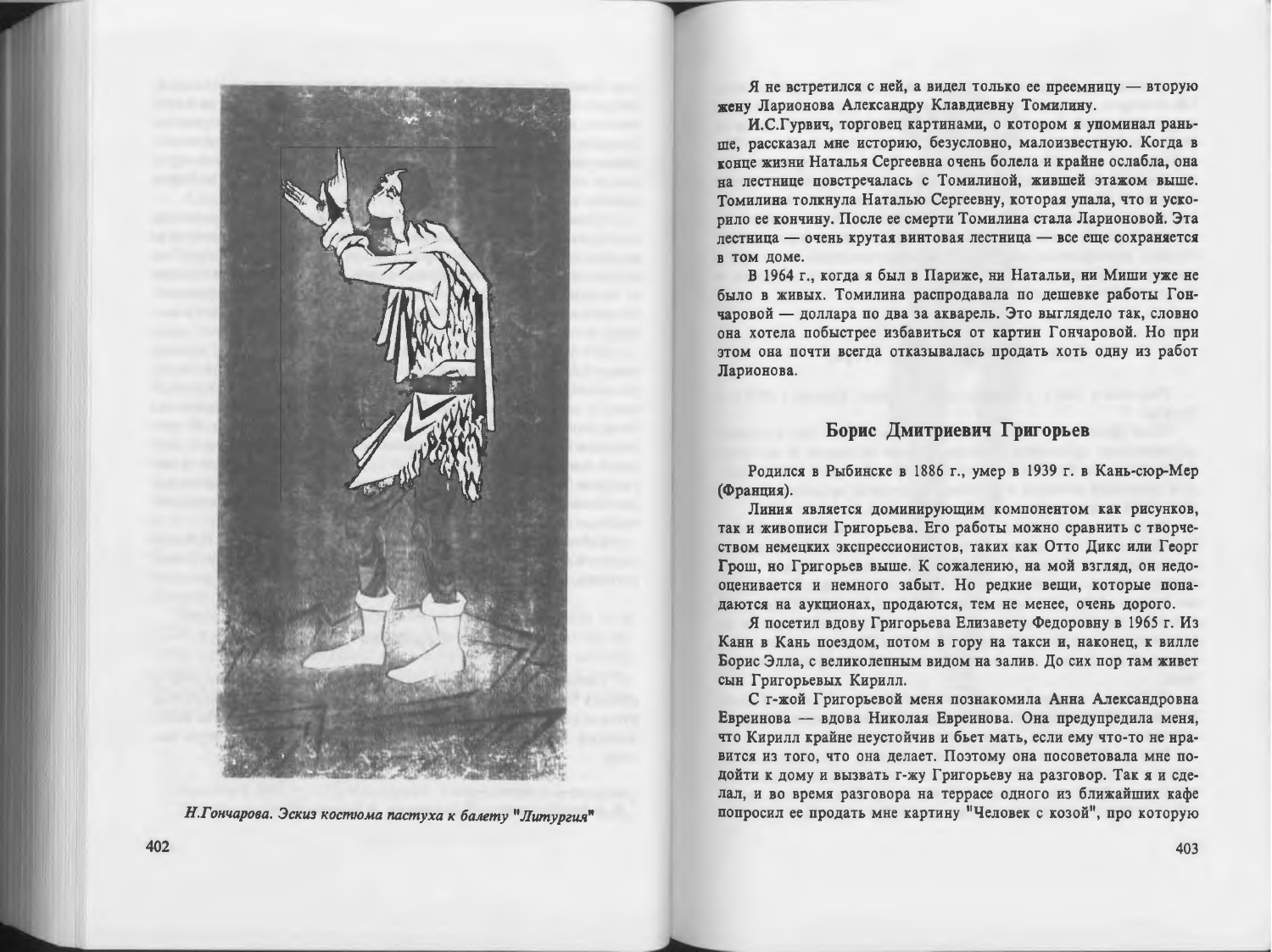

Н.Гончарова. Эскиз костюма пастуха к балету "Литургия"

Я не встретился с ней, а видел только ее преемницу - вторую жену Ларионова Александру Клавдиевну Томилину.

И.С.Гурвич, торговец картинами, о котором я упоминал раньше, рассказал мне историю, безусловно, малоизвестную. Когда в конце жизни Наталья Сергеевна очень болела и крайне ослабла, она на лестнице повстречалась с Томилиной, жившей этажом выше. Томилина толкнула Наталью Сергеевну, которая упала, что и ускорило ее кончину. После ее смерти Томилина стала Ларионовой. Эта лестница — очень крутая винтовая лестница — все еще сохраняется в том доме.

В 1964 г., когда я был в Париже, ни Натальи, ни Миши уже не было в живых. Томилина распродавала по дешевке работы Гончаровой — доллара по два за акварель. Это выглядело так, словно она хотела побыстрее избавиться от картин Гончаровой. Но при этом она почти всегда отказывалась продать хоть одну из работ Ларионова.

# Борис Дмитриевич Григорьев

Родился в Рыбинске в 1886 г., умер в 1939 г. в Кань-сюр-Мер (Франция).

Линия является доминирующим компонентом как рисунков. так и живописи Григорьева. Его работы можно сравнить с творчеством немецких экспрессионистов, таких как Отто Дикс или Георг Грош, но Григорьев выше. К сожалению, на мой взгляд, он недооценивается и немного забыт. Но редкие вещи, которые попадаются на аукционах, продаются, тем не менее, очень дорого.

Я посетил вдову Григорьева Елизавету Федоровну в 1965 г. Из Канн в Кань поездом, потом в гору на такси и, наконец, к вилле Борис Элла, с великолепным видом на залив. До сих пор там живет сын Григорьевых Кирилл.

С г-жой Григорьевой меня познакомила Анна Александровна Евреинова — вдова Николая Евреинова. Она предупредила меня, что Кирилл крайне неустойчив и бьет мать, если ему что-то не нравится из того, что она делает. Поэтому она посоветовала мне подойти к дому и вызвать г-жу Григорьеву на разговор. Так я и сделал, и во время разговора на террасе одного из ближайших кафе попросил ее продать мне картину "Человек с козой", про которую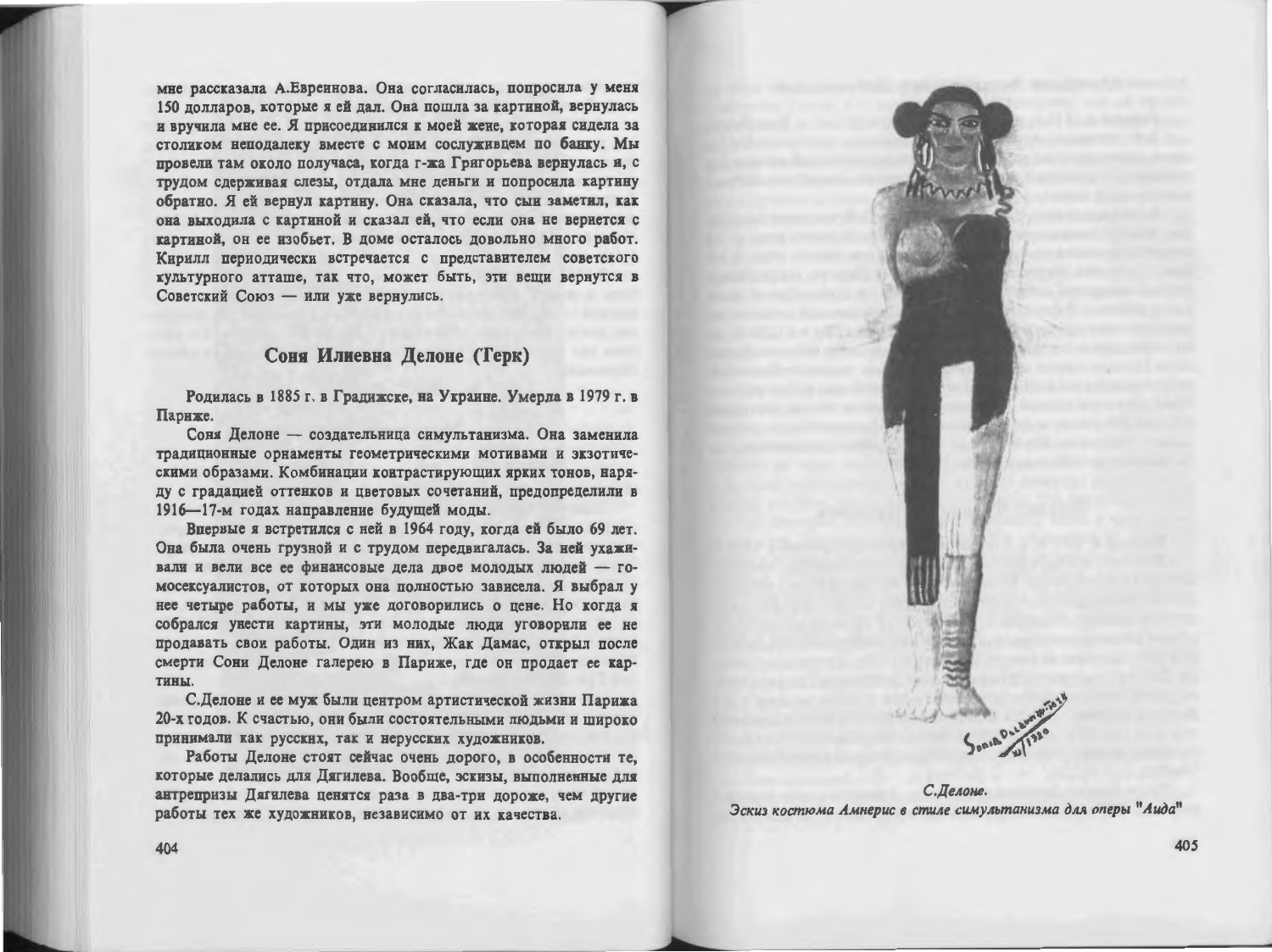мне рассказала А.Евреинова. Она согласилась, попросила у меня 150 долларов, которые я ей дал. Она пошла за картиной, вернулась и вручила мне ее. Я присоединился к моей жене, которая сидела за столиком неподалеку вместе с моим сослуживцем по банку. Мы провели там около получаса, когда г-жа Григорьева вернулась и, с трудом сдерживая слезы, отдала мне деньги и попросила картину обратно. Я ей вернул картину. Она сказала, что сыи заметил, как она выходила с картиной и сказал ей, что если она не вернется с картиной, он ее изобьет. В доме осталось довольно много работ. Кирилл периодически встречается с представителем советского культурного атташе, так что, может быть, эти вещи вернутся в Советский Союз - или уже вернулись.

## Соня Илиевна Делоне (Терк)

Родилась в 1885 г. в Градижске, на Украине. Умерла в 1979 г. в Париже.

Соня Делоне - создательница симультанизма. Она заменила традиционные орнаменты геометрическими мотивами и экзотическими образами. Комбинации контрастирующих ярких тонов, наряду с градацией оттенков и цветовых сочетаний, предопределили в 1916-17-м годах направление будущей моды.

Впервые я встретился с ней в 1964 году, когда ей было 69 лет. Она была очень грузной и с трудом передвигалась. За ней ухаживали и вели все ее финансовые дела двое молодых людей - гомосексуалистов, от которых она полностью зависела. Я выбрал у нее четыре работы, и мы уже договорились о цене. Но когда я собрался унести картины, эти молодые люди уговорили ее не продавать свои работы. Один из них, Жак Дамас, открыл после смерти Сони Делоне галерею в Париже, где он продает ее картины.

С.Делоне и ее муж были центром артистической жизни Парижа 20-х годов. К счастью, они были состоятельными людьми и широко принимали как русских, так и нерусских художников.

Работы Делоне стоят сейчас очень дорого, в особенности те, которые делались для Дягилева. Вообще, эскизы, выполненные для антрепризы Дягилева ценятся раза в два-три дороже, чем другие работы тех же художников, независимо от их качества.



С.Делоне. Эскиз костюма Амнерис в стиле симультанизма для оперы "Аида"

404

405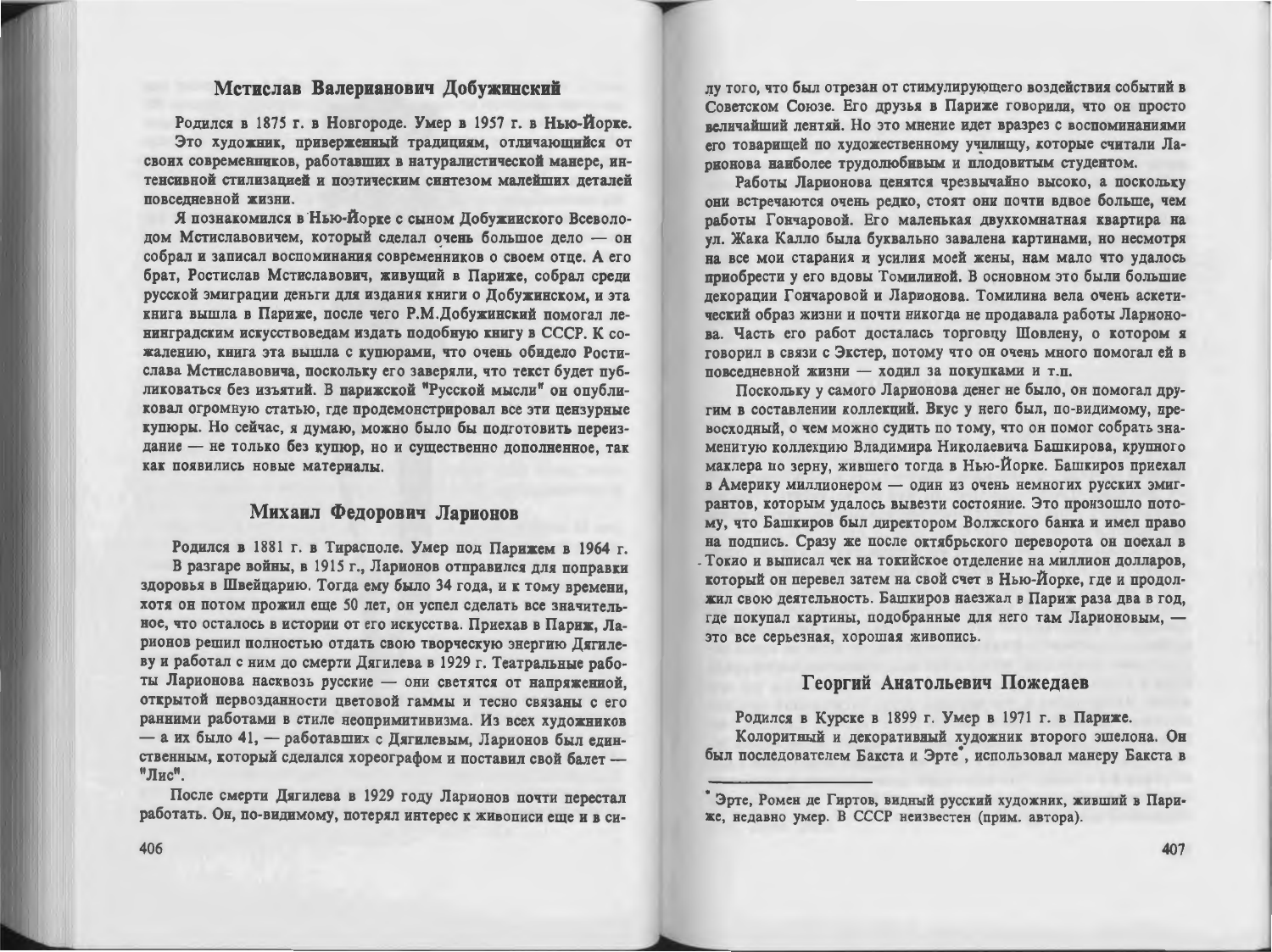# Мстислав Валерианович Добужинский

Родился в 1875 г. в Новгороде. Умер в 1957 г. в Нью-Йорке. Это художник, приверженный традициям, отличающийся от своих современников, работавших в натуралистической манере, интенсивной стилизацией и поэтическим синтезом малейших леталей повселневной жизни.

Я познакомился в Нью-Йорке с сыном Добужииского Всеволодом Мстиславовичем, который сделал очень большое дело - он собрал и записал воспоминания современников о своем отце. А его брат, Ростислав Мстиславович, живущий в Париже, собрал среди русской эмиграции деньги для издания книги о Добужинском, и эта книга вышла в Париже, после чего Р.М. Добужинский помогал ленинградским искусствоведам издать подобную книгу в СССР. К сожалению, книга эта вышла с купюрами, что очень обидело Ростислава Мстиславовича, поскольку его заверяли, что текст будет публиковаться без изъятий. В парижской "Русской мысли" он опубликовал огромную статью, где продемонстрировал все эти цензурные купюры. Но сейчас, я думаю, можно было бы подготовить переиздание - не только без купюр, но и существенно дополненное, так как появились новые материалы.

#### Михаил Федорович Ларионов

Родился в 1881 г. в Тирасполе. Умер под Парижем в 1964 г. В разгаре войны, в 1915 г., Ларионов отправился для поправки здоровья в Швейцарию. Тогда ему было 34 года, и к тому времени, хотя он потом прожил еще 50 лет, он успел сделать все значительное, что осталось в истории от его искусства. Приехав в Париж. Ларионов решил полностью отдать свою творческую энергию Дягилеву и работал с ним до смерти Дягилева в 1929 г. Театральные работы Ларионова насквозь русские - они светятся от напряженной. открытой первозданности цветовой гаммы и тесно связаны с его ранними работами в стиле неопримитивизма. Из всех художников - а их было 41, - работавших с Дягилевым, Ларионов был единственным, который сделался хореографом и поставил свой балет -"Лис".

После смерти Дягилева в 1929 году Ларионов почти перестал работать. Он, по-видимому, потерял интерес к живописи еще и в си-

лу того, что был отрезан от стимулирующего воздействия событий в Советском Союзе. Его друзья в Париже говорили, что он просто величайший лентяй. Но это мнение идет вразрез с воспоминаниями его товарищей по художественному училищу, которые считали Ларионова наиболее трудолюбивым и плодовитым студентом.

Работы Ларионова ценятся чрезвычайно высоко, а поскольку они встречаются очень редко, стоят они почти вдвое больше, чем работы Гончаровой. Его маленькая двухкомнатная квартира на ул. Жака Калло была буквально завалена картинами, но несмотря на все мои старания и усилия моей жены, нам мало что удалось приобрести у его вдовы Томилиной. В основном это были большие декорации Гончаровой и Ларионова. Томилина вела очень аскетический образ жизни и почти никогда не продавала работы Ларионова. Часть его работ досталась торговцу Шовлену, о котором я говорил в связи с Экстер, потому что он очень много помогал ей в повседневной жизни - ходил за покупками и т.п.

Поскольку у самого Ларионова денег не было, он помогал другим в составлении коллекций. Вкус у него был, по-видимому, превосходный, о чем можно судить по тому, что он помог собрать знаменитую коллекцию Владимира Николаевича Башкирова, крупного маклера по зерну, жившего тогда в Нью-Йорке. Башкиров приехал в Америку миллионером - один из очень немногих русских эмигрантов, которым удалось вывезти состояние. Это произошло потому, что Башкиров был директором Волжского банка и имел право на подпись. Сразу же после октябрьского переворота он поехал в . Токио и выписал чек на токийское отделение на миллион долларов, который он перевел затем на свой счет в Нью-Йорке, где и продолжил свою деятельность. Башкиров наезжал в Париж раза два в год, где покупал картины, подобранные для него там Ларионовым, это все серьезная, хорошая живопись.

# Георгий Анатольевич Пожедаев

Родился в Курске в 1899 г. Умер в 1971 г. в Париже.

Колоритный и декоративный художник второго эшелона. Он был последователем Бакста и Эрте<sup>\*</sup>, использовал манеру Бакста в

Эрте. Ромен де Гиртов, видный русский художник, живший в Париже, недавно умер. В СССР неизвестен (прим. автора).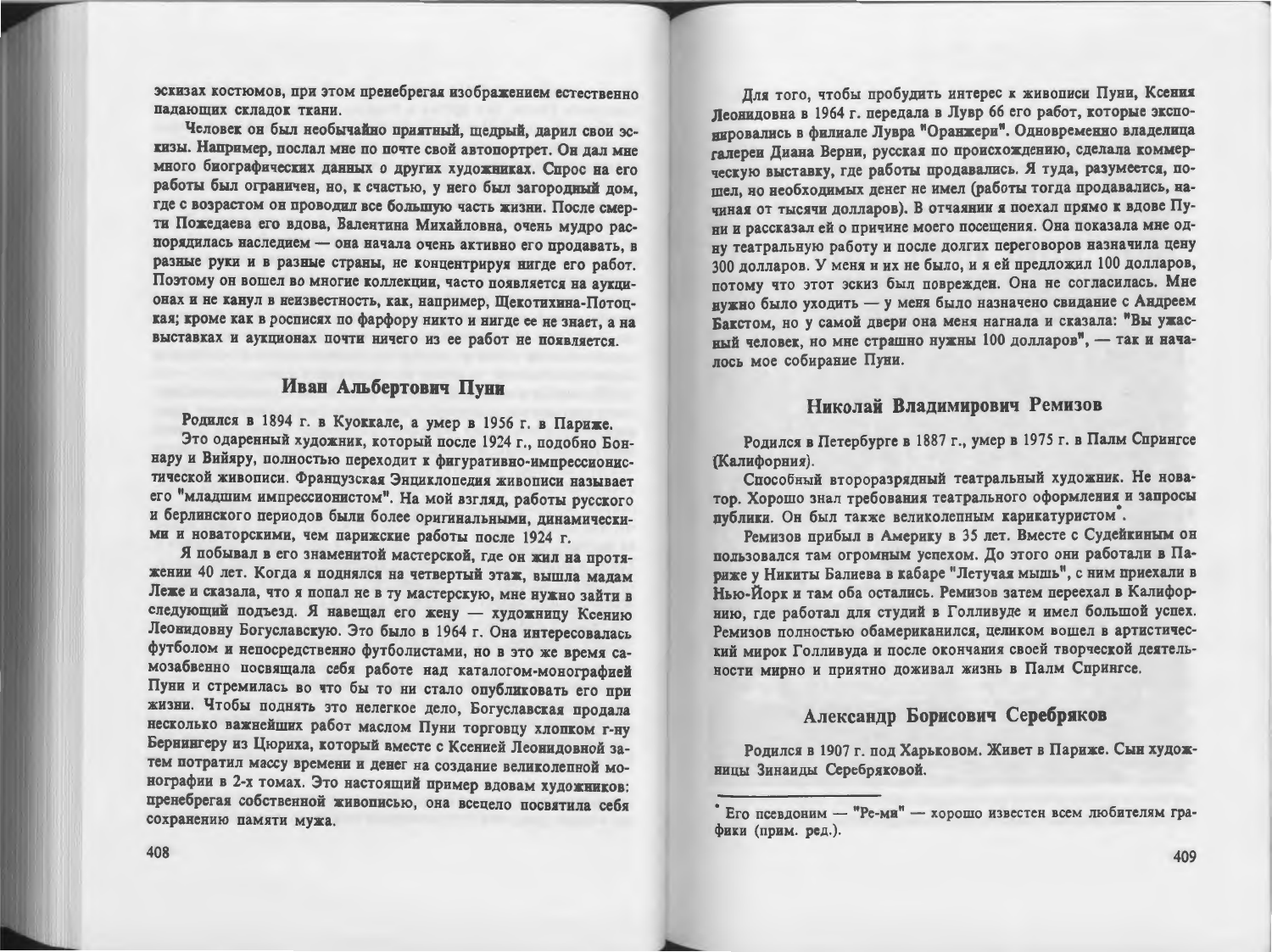эскизах костюмов, при этом пренебрегая изображением естественно падающих складок ткани.

Человек он был необычайно приятный, щедрый, дарил свои эскизы. Например, послал мне по почте свой автопортрет. Он дал мне много биографических данных о других художниках. Спрос на его работы был ограничен, но, к счастью, у него был загородный дом. где с возрастом он проводил все большую часть жизни. После смерти Пожедаева его вдова, Валентина Михайловна, очень мудро распорядилась наследием - она начала очень активно его продавать, в разные руки и в разные страны, не концентрируя нигде его работ. Поэтому он вошел во многие коллекции, часто появляется на аукционах и не канул в неизвестность, как, например, Щекотихина-Потоцкая; кроме как в росписях по фарфору никто и нигде ее не знает, а на выставках и аукционах почти ничего из ее работ не появляется.

# Иван Альбертович Пуни

Родился в 1894 г. в Куоккале, а умер в 1956 г. в Париже. Это одаренный художник, который после 1924 г., подобно Боннару и Вийяру, полностью переходит к фигуративно-импрессионистической живописи. Французская Энциклопедия живописи называет его "младшим импрессионистом". На мой взгляд, работы русского и берлинского периодов были более оригинальными, динамическими и новаторскими, чем парижские работы после 1924 г.

Я побывал в его знаменитой мастерской, где он жил на протяжении 40 лет. Когда я поднялся на четвертый этаж, вышла мадам Леже и сказала, что я попал не в ту мастерскую, мне нужно зайти в следующий подъезд. Я навещал его жену - художницу Ксению Леонидовну Богуславскую. Это было в 1964 г. Она интересовалась футболом и непосредственно футболистами, но в это же время самозабвенно посвящала себя работе над каталогом-монографией Пуни и стремилась во что бы то ни стало опубликовать его при жизни. Чтобы поднять это нелегкое дело, Богуславская продала несколько важнейших работ маслом Пуни торговцу хлопком г-ну Бернингеру из Цюриха, который вместе с Ксенией Леонидовной затем потратил массу времени и денег на создание великолепной монографии в 2-х томах. Это настоящий пример вдовам художников: пренебрегая собственной живописью, она всецело посвятила себя сохранению памяти мужа.

Для того, чтобы пробудить интерес к живописи Пуни, Ксения Леонидовна в 1964 г. передала в Лувр 66 его работ, которые экспонировались в филиале Лувра "Оранжери". Одновременно владелица галереи Диана Верни, русская по происхождению, сделала коммерческую выставку, где работы продавались. Я туда, разумеется, пошел, но необходимых денег не имел (работы тогда продавались, начиная от тысячи долларов). В отчаянии я поехал прямо к вдове Пуни и рассказал ей о причине моего посещения. Она показала мне одну театральную работу и после долгих переговоров назначила цену 300 долларов. У меня и их не было, и я ей предложил 100 долларов, потому что этот эскиз был поврежден. Она не согласилась. Мне нужно было уходить - у меня было назначено свидание с Андреем Бакстом, но у самой двери она меня нагнала и сказала: "Вы ужасный человек, но мне страшно нужны 100 долларов", - так и началось мое собирание Пуни.

# Николай Владимирович Ремизов

Родился в Петербурге в 1887 г., умер в 1975 г. в Палм Спрингсе (Калифорния).

Способный второразрядный театральный художник. Не новатор. Хорошо знал требования театрального оформления и запросы публики. Он был также великолепным карикатуристом.

Ремизов прибыл в Америку в 35 лет. Вместе с Судейкиным он пользовался там огромным успехом. До этого они работали в Париже у Никиты Балиева в кабаре "Летучая мышь", с ним приехали в Нью-Йорк и там оба остались. Ремизов затем переехал в Калифорнию, где работал для студий в Голливуде и имел большой успех. Ремизов полностью обамериканился, целиком вошел в артистический мирок Голливуда и после окончания своей творческой деятельности мирно и приятно доживал жизнь в Палм Спрингсе.

## Александр Борисович Серебряков

Родился в 1907 г. под Харьковом. Живет в Париже. Сын художницы Зинаиды Серебряковой.

Его псевдоним - "Ре-ми" - хорошо известен всем любителям графики (прим. ред.).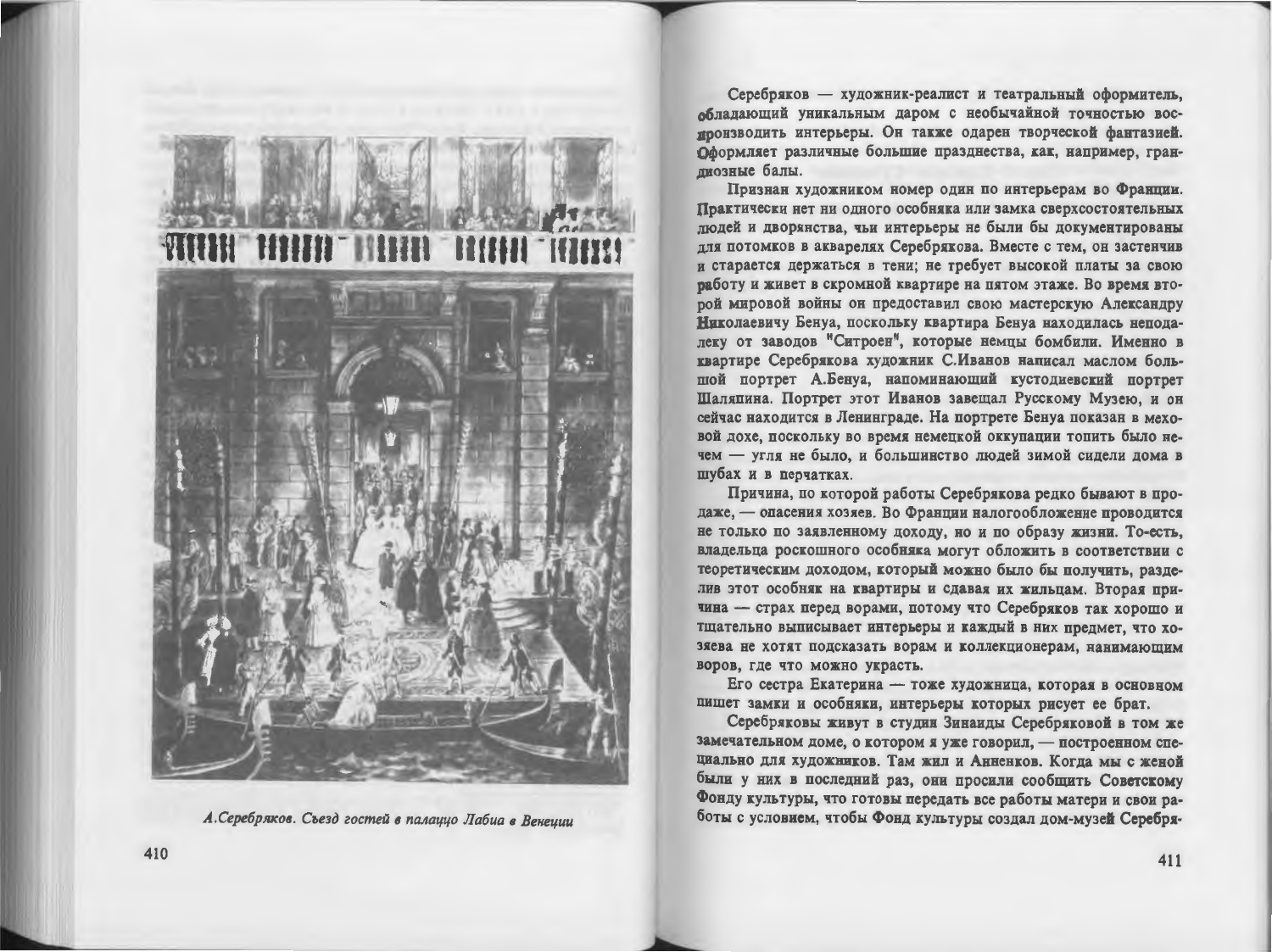

А. Серебряков. Съезд гостей в палаццо Лабиа в Венеции

Серебряков - художник-реалист и театральный оформитель, обладающий уникальным даром с необычайной точностью воспроизводить интерьеры. Он также одарен творческой фантазией. Оформляет различные большие празднества, как, например, гранпиозные балы.

Признан художником номер один по интерьерам во Франции. Практически нет ни одного особняка или замка сверхсостоятельных пюдей и дворянства, чьи интерьеры не были бы документированы для потомков в акварелях Серебрякова. Вместе с тем, он застенчив и старается держаться в тени; не требует высокой платы за свою работу и живет в скромной квартире на пятом этаже. Во время второй мировой войны он предоставил свою мастерскую Александру Николаевичу Бенуа, поскольку квартира Бенуа находилась неподалеку от заводов "Ситроен", которые немцы бомбили. Именно в квартире Серебрякова художник С.Иванов написал маслом большой портрет А.Бенуа, напоминающий кустодиевский портрет Шаляпина. Портрет этот Иванов завещал Русскому Музею, и он сейчас находится в Ленинграде. На портрете Бенуа показан в меховой дохе, поскольку во время немецкой оккупации топить было нечем - угля не было, и большинство людей зимой сидели дома в шубах и в перчатках.

Причина, по которой работы Серебрякова редко бывают в продаже, - опасения хозяев. Во Франции налогообложение проводится не только по заявленному доходу, но и по образу жизни. То-есть, владельца роскошного особняка могут обложить в соответствии с теоретическим доходом, который можно было бы получить, разделив этот особняк на квартиры и сдавая их жильцам. Вторая причина - страх перед ворами, потому что Серебряков так хорошо и тщательно выписывает интерьеры и каждый в них предмет, что хозяева не хотят подсказать ворам и коллекционерам, нанимающим воров, где что можно украсть.

Его сестра Екатерина - тоже художница, которая в основном пишет замки и особняки, интерьеры которых рисует ее брат.

Серебряковы живут в студии Зинаиды Серебряковой в том же замечательном доме, о котором я уже говорил, - построенном специально для художников. Там жил и Анненков. Когда мы с женой были у них в последний раз, они просили сообщить Советскому Фонду культуры, что готовы передать все работы матери и свои работы с условием, чтобы Фонд культуры создал дом-музей Серебря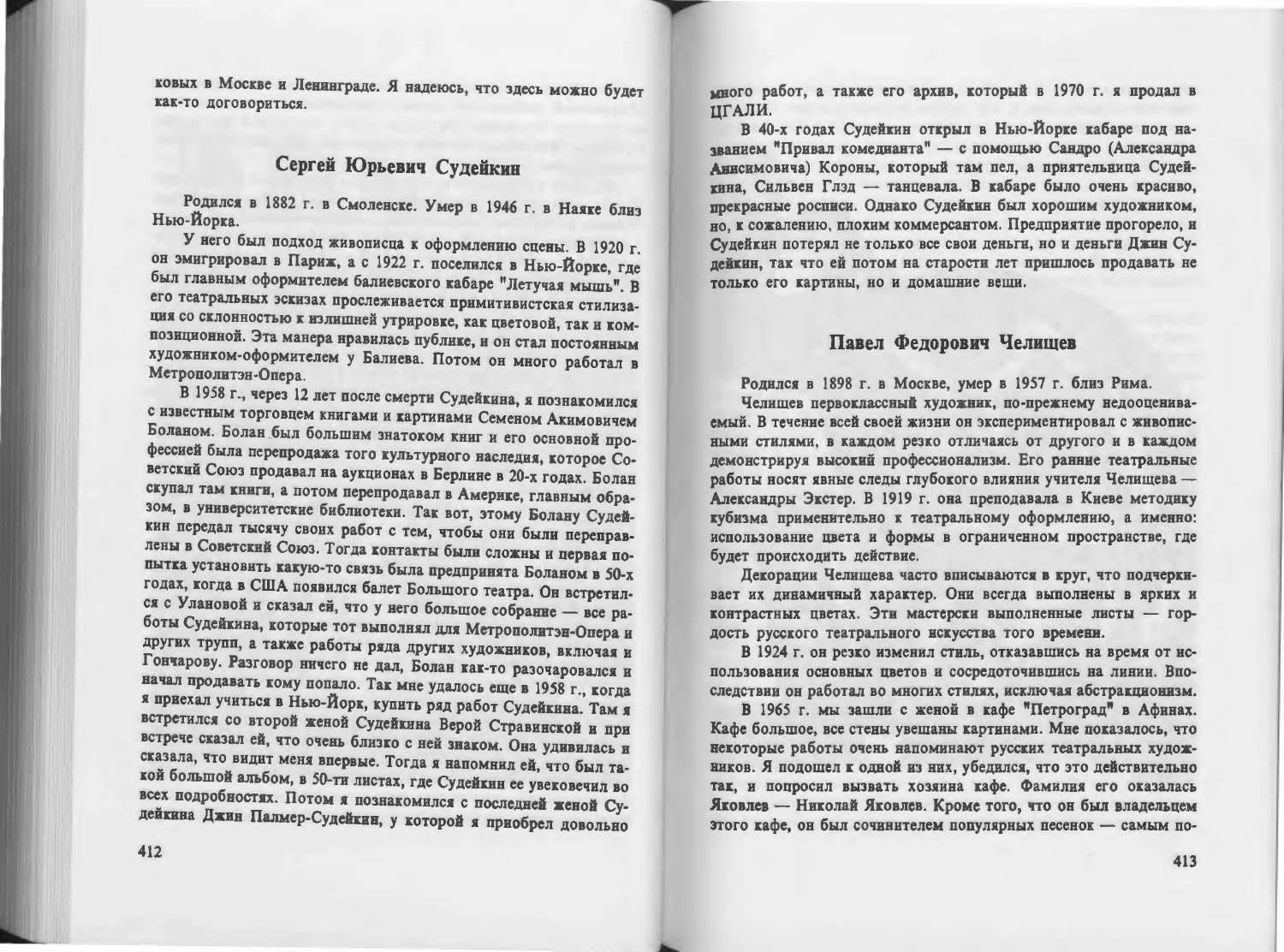ковых в Москве и Ленинграде. Я надеюсь, что здесь можно будет как-то договориться.

# Сергей Юрьевич Судейкин

Родился в 1882 г. в Смоленске. Умер в 1946 г. в Наяке близ Нью-Йорка.

У него был подход живописца к оформлению сцены. В 1920 г. он эмигрировал в Париж, а с 1922 г. поселился в Нью-Йорке, где был главным оформителем балиевского кабаре "Летучая мышь". В его театральных эскизах прослеживается примитивистская стилизация со склонностью к излишней утрировке, как цветовой, так и композиционной. Эта манера нравилась публике, и он стал постоянным художником-оформителем у Балиева. Потом он много работал в Метрополитэн-Опера.

В 1958 г., через 12 лет после смерти Судейкина, я познакомился с известным торговцем книгами и картинами Семеном Акимовичем Боланом. Болан был большим знатоком книг и его основной профессией была перепродажа того культурного наследия, которое Советский Союз продавал на аукционах в Берлине в 20-х годах. Болан скупал там книги, а потом перепродавал в Америке, главным образом, в университетские библиотеки. Так вот, этому Болану Судейкин передал тысячу своих работ с тем, чтобы они были переправлены в Советский Союз. Тогда контакты были сложны и первая попытка установить какую-то связь была предпринята Боланом в 50-х годах, когда в США появился балет Большого театра. Он встретился с Улановой и сказал ей, что у него большое собрание - все работы Судейкина, которые тот выполнял для Метрополитэн-Опера и других трупп, а также работы ряда других художников, включая и Гончарову. Разговор ничего не дал, Болан как-то разочаровался и начал продавать кому попало. Так мне удалось еще в 1958 г., когда я приехал учиться в Нью-Йорк, купить ряд работ Судейкина. Там я встретился со второй женой Судейкина Верой Стравинской и при встрече сказал ей, что очень близко с ней знаком. Она удивилась и сказала, что видит меня впервые. Тогда я напомнил ей, что был такой большой альбом, в 50-ти листах, где Судейкин ее увековечил во всех подробностях. Потом я познакомился с последней женой Судейкина Джин Палмер-Судейкин, у которой я приобрел довольно

много работ, а также его архив, который в 1970 г. я продал в ЦГАЛИ.

В 40-х годах Судейкин открыл в Нью-Йорке кабаре под названием "Привал комедианта" - с помощью Сандро (Александра Анисимовича) Короны, который там пел, а приятельница Судейтина. Сильвен Глэд - танцевала. В кабаре было очень красиво, прекрасные росписи. Однако Судейкин был хорошим художником, но, к сожалению, плохим коммерсантом. Предприятие прогорело, и Судейкин потерял не только все свои деньги, но и деньги Джин Судейкин, так что ей потом на старости лет пришлось продавать не только его картины, но и домашние вещи.

# Павел Федорович Челищев

Родился в 1898 г. в Москве, умер в 1957 г. близ Рима.

Челищев первоклассный художник, по-прежнему недооцениваемый. В течение всей своей жизни он экспериментировал с живописными стилями, в каждом резко отличаясь от другого и в каждом демонстрируя высокий профессионализм. Его ранние театральные работы носят явные следы глубокого влияния учителя Челищева -Александры Экстер. В 1919 г. она преподавала в Киеве методику кубизма применительно к театральному оформлению, а именно: использование цвета и формы в ограниченном пространстве, где будет происходить действие.

Декорации Челищева часто вписываются в круг, что подчеркивает их динамичный характер. Они всегда выполнены в ярких и контрастных цветах. Эти мастерски выполненные листы - гордость русского театрального искусства того времени.

В 1924 г. он резко изменил стиль, отказавшись на время от использования основных цветов и сосредоточившись на линии. Впоследствии он работал во многих стилях, исключая абстракционизм.

В 1965 г. мы зашли с женой в кафе "Петроград" в Афинах. Кафе большое, все стены увещаны картинами. Мне показалось, что некоторые работы очень напоминают русских театральных художников. Я подощел к одной из них, убедился, что это действительно так, и попросил вызвать хозяина кафе. Фамилия его оказалась Яковлев - Николай Яковлев. Кроме того, что он был владельцем этого кафе, он был сочинителем популярных песенок - самым по-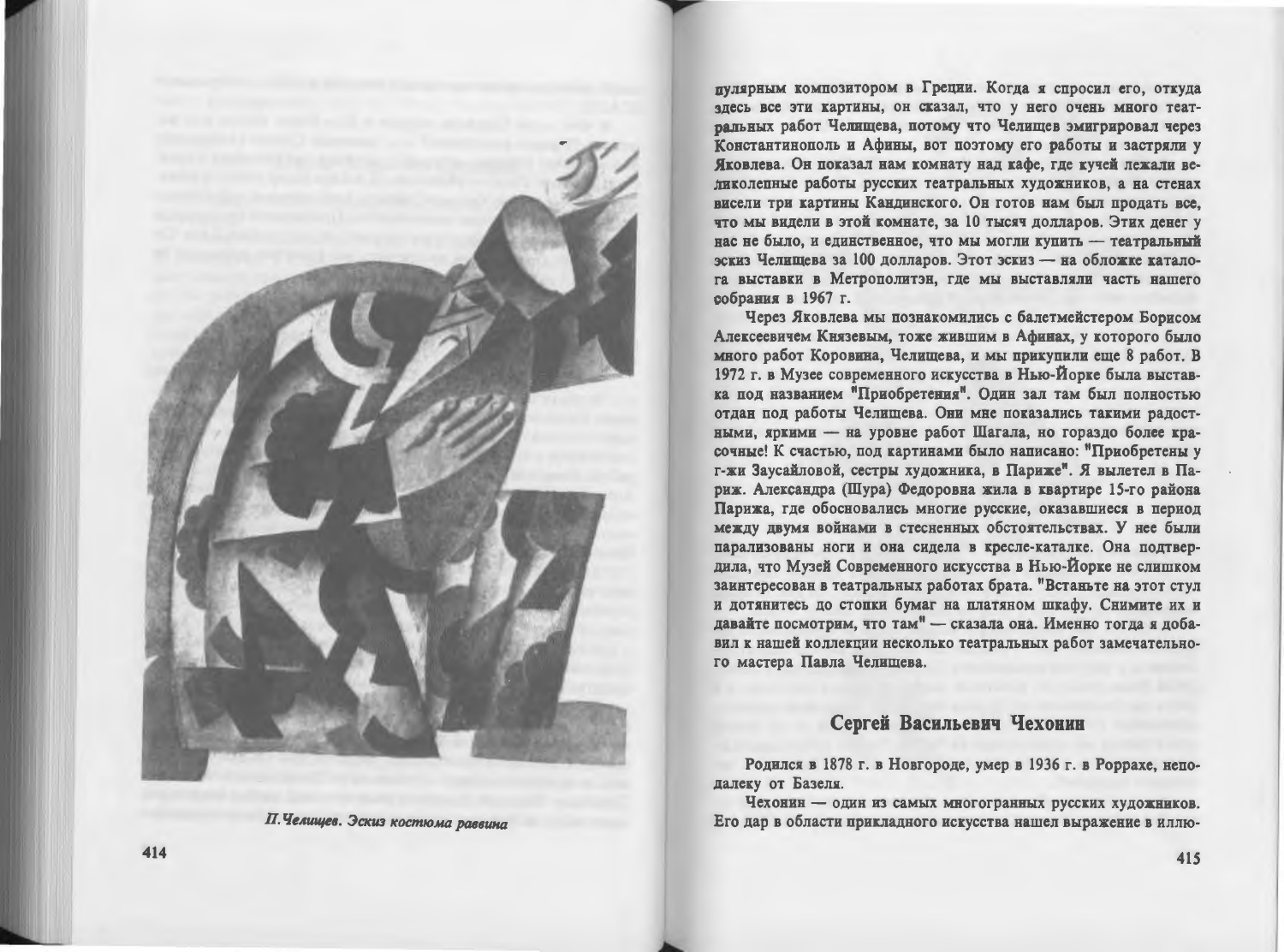

П. Челищев. Эскиз костюма раввина

пулярным композитором в Греции. Когда я спросил его, откуда здесь все эти картины, он сказал, что у него очень много театральных работ Челищева, потому что Челищев эмигрировал через Константинополь и Афины, вот поэтому его работы и застряли у Яковлева. Он показал нам комнату над кафе, где кучей лежали великолепные работы русских театральных художников, а на стенах висели три картины Кандинского. Он готов нам был продать все. что мы видели в этой комнате, за 10 тысяч долларов. Этих денег у нас не было, и единственное, что мы могли купить - театральный эскиз Челищева за 100 долларов. Этот эскиз - на обложке каталога выставки в Метрополитэн, где мы выставляли часть нашего собрания в 1967 г.

Через Яковлева мы познакомились с балетмейстером Борисом Алексеевичем Князевым, тоже жившим в Афинах, у которого было много работ Коровина, Челищева, и мы прикупили еще 8 работ. В 1972 г. в Музее современного искусства в Нью-Йорке была выставка под названием "Приобретения". Один зал там был полностью отдан под работы Челищева. Они мне показались такими радостными, яркими - на уровне работ Шагала, но гораздо более красочные! К счастью, под картинами было написано: "Приобретены у г-жи Заусайловой, сестры художника, в Париже". Я вылетел в Париж. Александра (Шура) Федоровна жила в квартире 15-го района Парижа, где обосновались многие русские, оказавшиеся в период между двумя войнами в стесненных обстоятельствах. У нее были парализованы ноги и она сидела в кресле-каталке. Она подтвердила, что Музей Современного искусства в Нью-Йорке не слишком заинтересован в театральных работах брата. "Встаньте на этот стул и дотянитесь до стопки бумаг на платяном шкафу. Снимите их и давайте посмотрим, что там" - сказала она. Именно тогда я добавил к нашей коллекции несколько театральных работ замечательного мастера Павла Челищева.

# Сергей Васильевич Чехонин

Родился в 1878 г. в Новгороде, умер в 1936 г. в Роррахе, неподалеку от Базеля.

Чехонин - один из самых многогранных русских художников. Его дар в области прикладного искусства нашел выражение в иллю-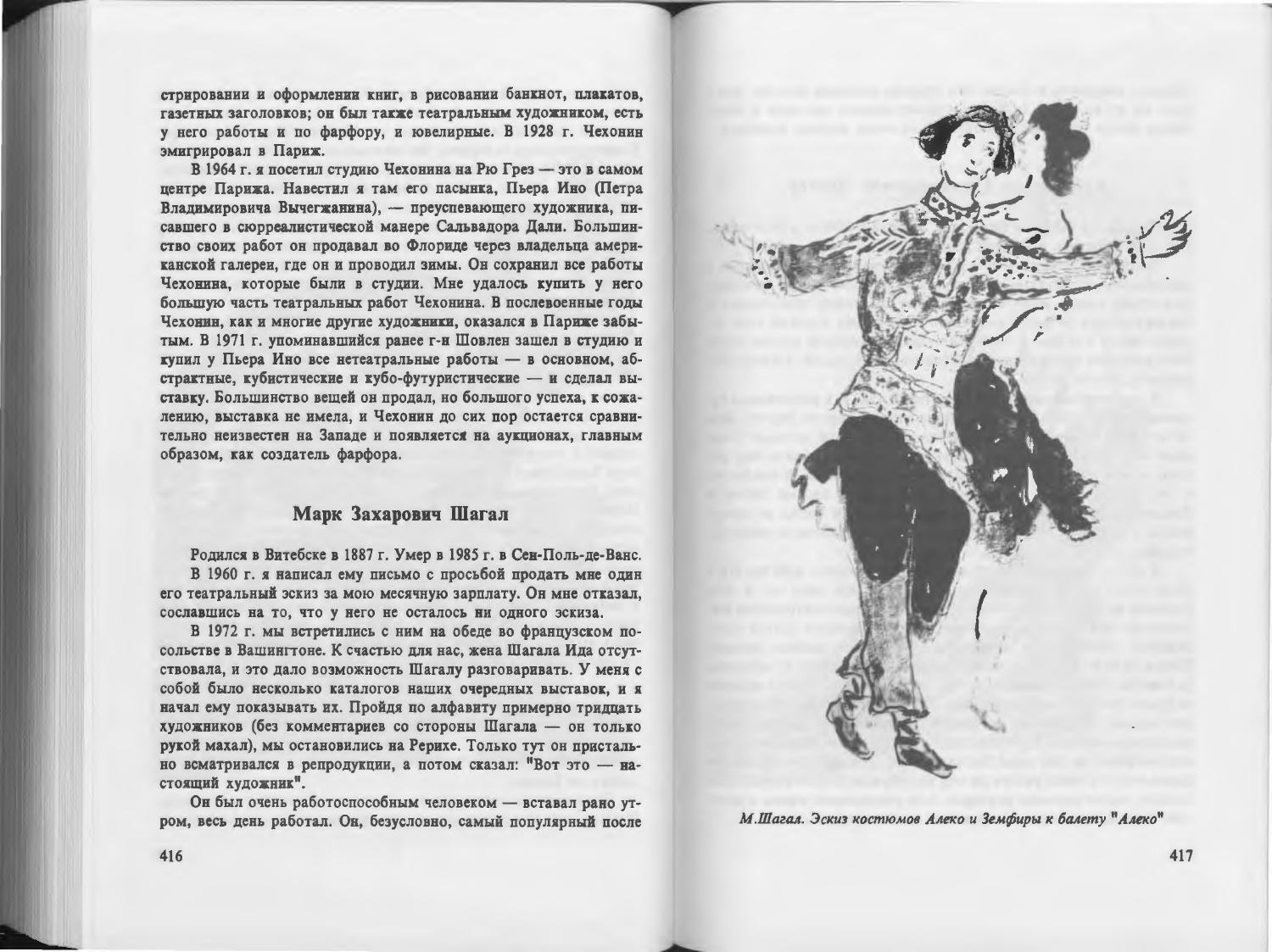стрировании и оформлении книг. в рисовании банкнот, плакатов, газетных заголовков; он был также театральным художником, есть у него работы и по фарфору, и ювелирные. В 1928 г. Чехонин эмигрировал в Париж.

В 1964 г. я посетил студию Чехонина на Рю Грез - это в самом центре Парижа. Навестил я там его пасынка, Пьера Ино (Петра Владимировича Вычегжанина), - преуспевающего художника, писавшего в сюрреалистической манере Сальвадора Дали. Большинство своих работ он продавал во Флориде через владельца американской галереи, где он и проводил зимы. Он сохранил все работы Чехонина, которые были в студии. Мне удалось купить у него большую часть театральных работ Чехонина. В послевоенные годы Чехонин, как и многие другие художники, оказался в Париже забытым. В 1971 г. упоминавшийся ранее г-н Шовлен зашел в студию и купил у Пьера Ино все нетеатральные работы - в основном, абстрактные, кубистические и кубо-футуристические - и сделал выставку. Большинство вещей он продал, но большого успеха, к сожалению, выставка не имела, и Чехонин до сих пор остается сравнительно неизвестен на Западе и появляется на аукционах, главным образом, как создатель фарфора.

## Марк Захарович Шагал

Родился в Витебске в 1887 г. Умер в 1985 г. в Сен-Поль-де-Ванс. В 1960 г. я написал ему письмо с просьбой продать мне один его театральный эскиз за мою месячную зарплату. Он мне отказал. сославшись на то, что у него не осталось ни одного эскиза.

В 1972 г. мы встретились с ним на обеде во французском посольстве в Вашингтоне. К счастью для нас, жена Шагала Ида отсутствовала, и это дало возможность Шагалу разговаривать. У меня с собой было несколько каталогов наших очередных выставок, и я начал ему показывать их. Пройдя по алфавиту примерно тридцать художников (без комментариев со стороны Шагала - он только рукой махал), мы остановились на Рерихе. Только тут он пристально всматривался в репродукции, а потом сказал: "Вот это - настоящий художник".

Он был очень работоспособным человеком - вставал рано утром, весь день работал. Он, безусловно, самый популярный после



М.Шагал. Эскиз костюмов Алеко и Земфиры к балету "Алеко"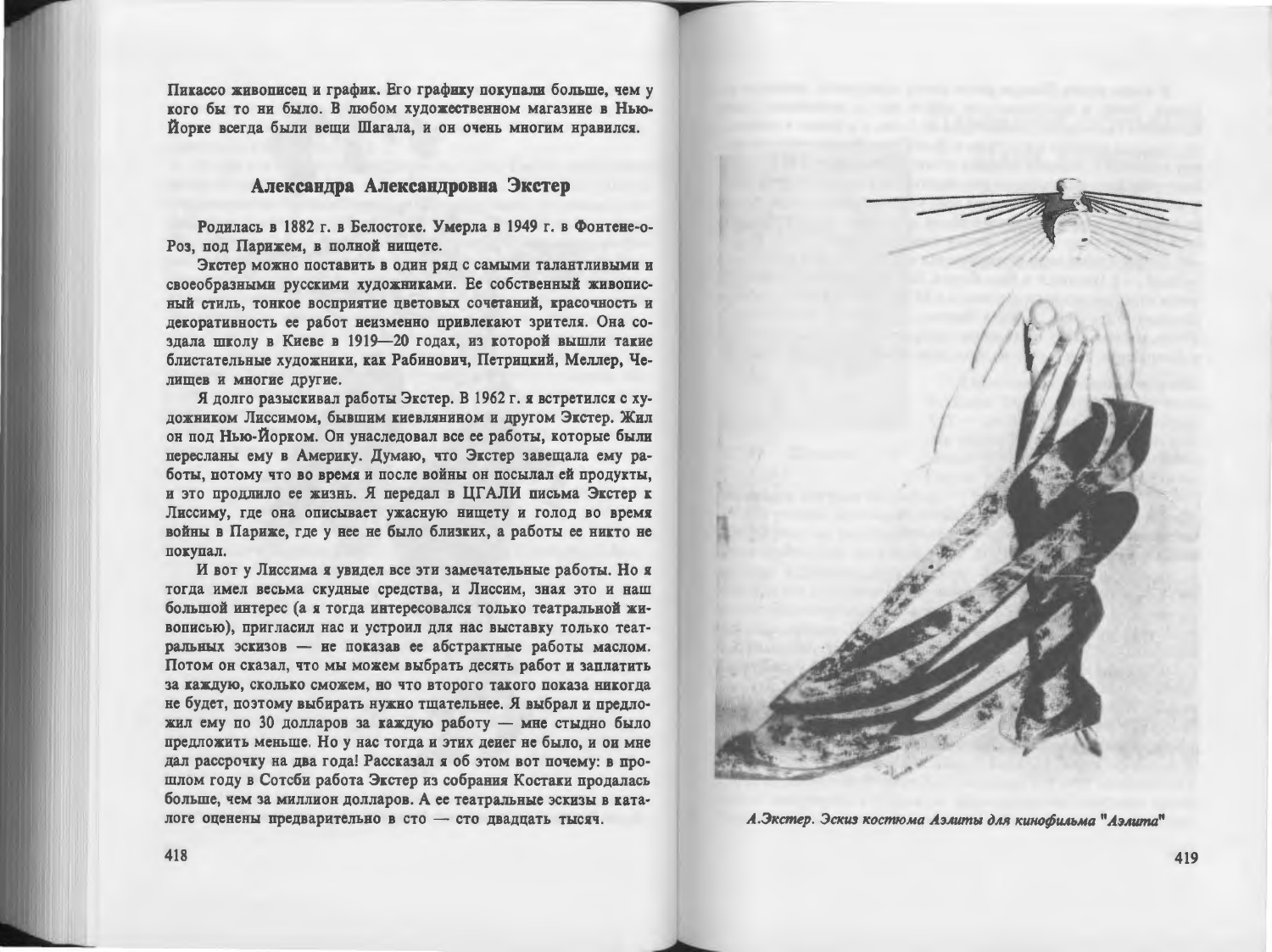Пикассо живописец и график. Его графику покупали больше, чем у кого бы то ни было. В любом художественном магазине в Нью-Йорке всегда были вещи Шагала, и он очень многим нравился.

### Александра Александровна Экстер

Родилась в 1882 г. в Белостоке. Умерла в 1949 г. в Фонтене-о-Роз. под Парижем. в полной нищете.

Экстер можно поставить в один ряд с самыми талантливыми и своеобразными русскими художниками. Ее собственный живописный стиль, тонкое восприятие цветовых сочетаний, красочность и декоративность ее работ неизменно привлекают зрителя. Она создала школу в Киеве в 1919-20 годах, из которой вышли такие блистательные художники, как Рабинович, Петрицкий, Меллер, Челишев и многие другие.

Я долго разыскивал работы Экстер. В 1962 г. я встретился с художником Лиссимом, бывшим киевлянином и другом Экстер. Жил он под Нью-Йорком. Он унаследовал все ее работы, которые были пересланы ему в Америку. Думаю, что Экстер завещала ему работы, потому что во время и после войны он посылал ей продукты. и это продлило ее жизнь. Я передал в ЦГАЛИ письма Экстер к Лиссиму, где она описывает ужасную нищету и голод во время войны в Париже, где у нее не было близких, а работы ее никто не покупал.

И вот у Лиссима я увидел все эти замечательные работы. Но я тогда имел весьма скудные средства, и Лиссим, зная это и наш большой интерес (а я тогда интересовался только театральной живописью), пригласил нас и устроил для нас выставку только театральных эскизов - не показав ее абстрактные работы маслом. Потом он сказал, что мы можем выбрать десять работ и заплатить за каждую, сколько сможем, но что второго такого показа никогда не будет, поэтому выбирать нужно тщательнее. Я выбрал и предложил ему по 30 долларов за каждую работу - мне стыдно было предложить меньше. Но у нас тогда и этих денег не было, и он мне дал рассрочку на два года! Рассказал я об этом вот почему: в прошлом году в Сотсби работа Экстер из собрания Костаки продалась больше, чем за миллион долларов. А ее театральные эскизы в каталоге оценены предварительно в сто - сто двадцать тысяч.



А.Экстер. Эскиз костюма Аэлиты для кинофильма "Аэлита"